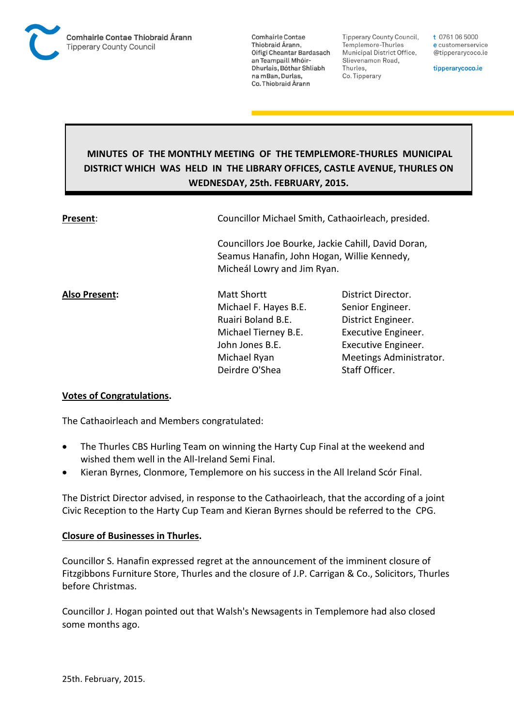

**Comhairle Contae** Thiobraid Árann, Oifigí Cheantar Bardasach an Teampaill Mhóir-Dhurlais, Bóthar Shliabh na mBan, Durlas. Co. Thiobraid Árann

**Tipperary County Council,** Templemore-Thurles Municipal District Office, Slievenamon Road, Thurles, Co. Tipperary

t 0761 06 5000 e customerservice @tipperarycoco.ie

tipperarycoco.ie

# **MINUTES OF THE MONTHLY MEETING OF THE TEMPLEMORE-THURLES MUNICIPAL DISTRICT WHICH WAS HELD IN THE LIBRARY OFFICES, CASTLE AVENUE, THURLES ON WEDNESDAY, 25th. FEBRUARY, 2015.**

| Present:             | Councillor Michael Smith, Cathaoirleach, presided.<br>Councillors Joe Bourke, Jackie Cahill, David Doran,<br>Seamus Hanafin, John Hogan, Willie Kennedy,<br>Micheál Lowry and Jim Ryan. |                         |  |
|----------------------|-----------------------------------------------------------------------------------------------------------------------------------------------------------------------------------------|-------------------------|--|
|                      |                                                                                                                                                                                         |                         |  |
| <b>Also Present:</b> | <b>Matt Shortt</b>                                                                                                                                                                      | District Director.      |  |
|                      | Michael F. Hayes B.E.                                                                                                                                                                   | Senior Engineer.        |  |
|                      | Ruairi Boland B.E.                                                                                                                                                                      | District Engineer.      |  |
|                      | Michael Tierney B.E.                                                                                                                                                                    | Executive Engineer.     |  |
|                      | John Jones B.E.                                                                                                                                                                         | Executive Engineer.     |  |
|                      | Michael Ryan                                                                                                                                                                            | Meetings Administrator. |  |
|                      | Deirdre O'Shea                                                                                                                                                                          | Staff Officer.          |  |

#### **Votes of Congratulations.**

The Cathaoirleach and Members congratulated:

- The Thurles CBS Hurling Team on winning the Harty Cup Final at the weekend and wished them well in the All-Ireland Semi Final.
- Kieran Byrnes, Clonmore, Templemore on his success in the All Ireland Scór Final.

The District Director advised, in response to the Cathaoirleach, that the according of a joint Civic Reception to the Harty Cup Team and Kieran Byrnes should be referred to the CPG.

#### **Closure of Businesses in Thurles.**

Councillor S. Hanafin expressed regret at the announcement of the imminent closure of Fitzgibbons Furniture Store, Thurles and the closure of J.P. Carrigan & Co., Solicitors, Thurles before Christmas.

Councillor J. Hogan pointed out that Walsh's Newsagents in Templemore had also closed some months ago.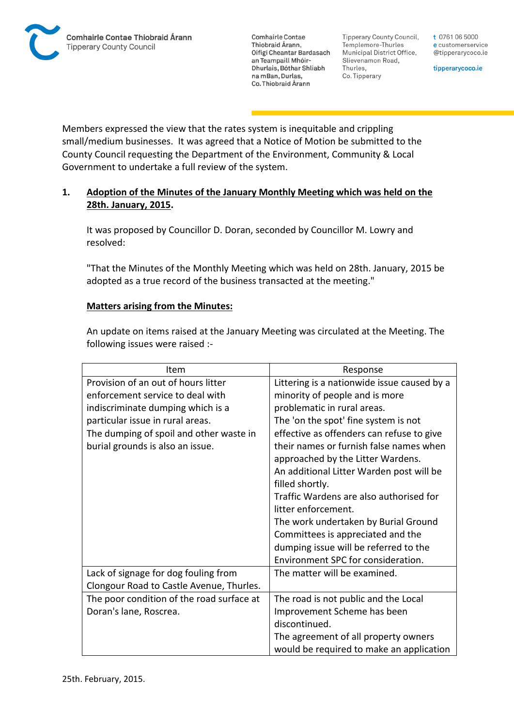**Comhairle Contae** Thiobraid Árann, Oifigí Cheantar Bardasach an Teampaill Mhóir-Dhurlais, Bóthar Shliabh na mBan, Durlas. Co. Thiobraid Árann

Tipperary County Council, Templemore-Thurles Municipal District Office, Slievenamon Road, Thurles, Co. Tipperary

t 0761 06 5000 e customerservice @tipperarycoco.ie

tipperarycoco.ie

Members expressed the view that the rates system is inequitable and crippling small/medium businesses. It was agreed that a Notice of Motion be submitted to the County Council requesting the Department of the Environment, Community & Local Government to undertake a full review of the system.

## **1. Adoption of the Minutes of the January Monthly Meeting which was held on the 28th. January, 2015.**

It was proposed by Councillor D. Doran, seconded by Councillor M. Lowry and resolved:

"That the Minutes of the Monthly Meeting which was held on 28th. January, 2015 be adopted as a true record of the business transacted at the meeting."

## **Matters arising from the Minutes:**

An update on items raised at the January Meeting was circulated at the Meeting. The following issues were raised :-

| Item                                      | Response                                    |
|-------------------------------------------|---------------------------------------------|
| Provision of an out of hours litter       | Littering is a nationwide issue caused by a |
| enforcement service to deal with          | minority of people and is more              |
| indiscriminate dumping which is a         | problematic in rural areas.                 |
| particular issue in rural areas.          | The 'on the spot' fine system is not        |
| The dumping of spoil and other waste in   | effective as offenders can refuse to give   |
| burial grounds is also an issue.          | their names or furnish false names when     |
|                                           | approached by the Litter Wardens.           |
|                                           | An additional Litter Warden post will be    |
|                                           | filled shortly.                             |
|                                           | Traffic Wardens are also authorised for     |
|                                           | litter enforcement.                         |
|                                           | The work undertaken by Burial Ground        |
|                                           | Committees is appreciated and the           |
|                                           | dumping issue will be referred to the       |
|                                           | Environment SPC for consideration.          |
| Lack of signage for dog fouling from      | The matter will be examined.                |
| Clongour Road to Castle Avenue, Thurles.  |                                             |
| The poor condition of the road surface at | The road is not public and the Local        |
| Doran's lane, Roscrea.                    | Improvement Scheme has been                 |
|                                           | discontinued.                               |
|                                           | The agreement of all property owners        |
|                                           | would be required to make an application    |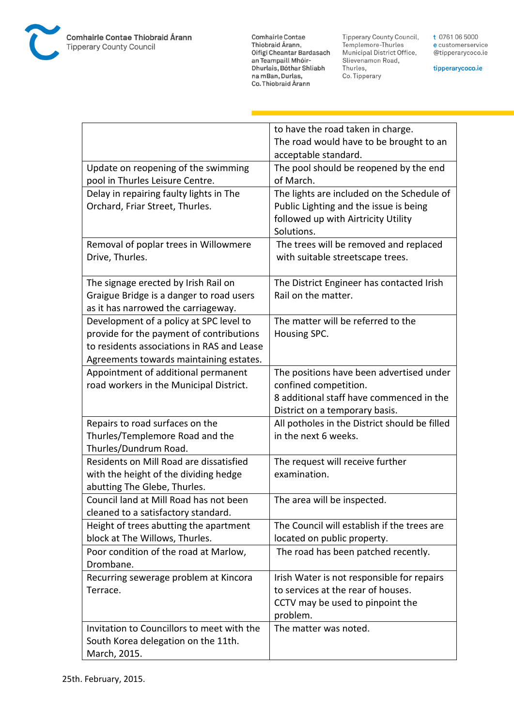

**Comhairle Contae** Commante Contae<br>Thiobraid Árann,<br>Oifigí Cheantar Bardasach an Teampaill Mhóir-Dhurlais, Bóthar Shliabh na mBan, Durlas,<br>Co. Thiobraid Árann

Tipperary County Council,<br>Templemore-Thurles<br>Municipal District Office, Slievenamon Road, Thurles, Co. Tipperary

tipperarycoco.ie

|                                            | to have the road taken in charge.             |
|--------------------------------------------|-----------------------------------------------|
|                                            | The road would have to be brought to an       |
|                                            | acceptable standard.                          |
| Update on reopening of the swimming        | The pool should be reopened by the end        |
| pool in Thurles Leisure Centre.            | of March.                                     |
| Delay in repairing faulty lights in The    | The lights are included on the Schedule of    |
| Orchard, Friar Street, Thurles.            | Public Lighting and the issue is being        |
|                                            | followed up with Airtricity Utility           |
|                                            | Solutions.                                    |
| Removal of poplar trees in Willowmere      | The trees will be removed and replaced        |
| Drive, Thurles.                            | with suitable streetscape trees.              |
|                                            |                                               |
| The signage erected by Irish Rail on       | The District Engineer has contacted Irish     |
| Graigue Bridge is a danger to road users   | Rail on the matter.                           |
| as it has narrowed the carriageway.        |                                               |
| Development of a policy at SPC level to    | The matter will be referred to the            |
| provide for the payment of contributions   | Housing SPC.                                  |
| to residents associations in RAS and Lease |                                               |
| Agreements towards maintaining estates.    |                                               |
| Appointment of additional permanent        | The positions have been advertised under      |
| road workers in the Municipal District.    | confined competition.                         |
|                                            | 8 additional staff have commenced in the      |
|                                            | District on a temporary basis.                |
| Repairs to road surfaces on the            | All potholes in the District should be filled |
| Thurles/Templemore Road and the            | in the next 6 weeks.                          |
| Thurles/Dundrum Road.                      |                                               |
| Residents on Mill Road are dissatisfied    | The request will receive further              |
| with the height of the dividing hedge      | examination.                                  |
| abutting The Glebe, Thurles.               |                                               |
|                                            |                                               |
| Council land at Mill Road has not been     | The area will be inspected.                   |
| cleaned to a satisfactory standard.        | The Council will establish if the trees are   |
| Height of trees abutting the apartment     |                                               |
| block at The Willows, Thurles.             | located on public property.                   |
| Poor condition of the road at Marlow,      | The road has been patched recently.           |
| Drombane.                                  |                                               |
| Recurring sewerage problem at Kincora      | Irish Water is not responsible for repairs    |
| Terrace.                                   | to services at the rear of houses.            |
|                                            | CCTV may be used to pinpoint the              |
|                                            | problem.                                      |
| Invitation to Councillors to meet with the | The matter was noted.                         |
| South Korea delegation on the 11th.        |                                               |
| March, 2015.                               |                                               |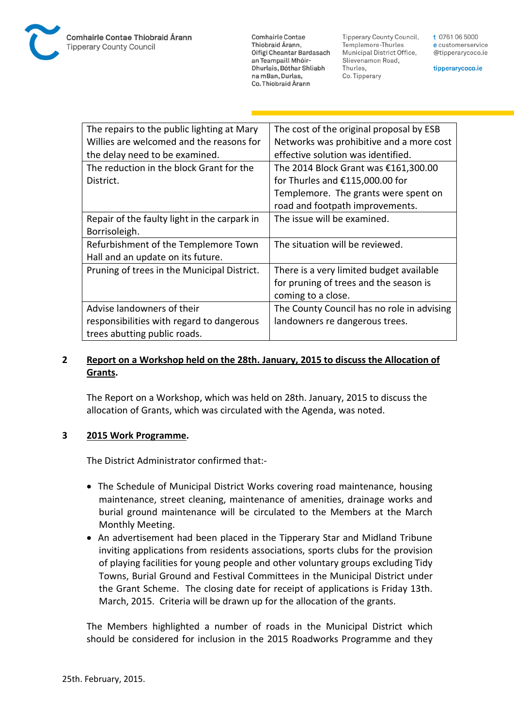**Comhairle Contae** Thiobraid Árann. Oifigí Cheantar Bardasach an Teampaill Mhóir-Dhurlais, Bóthar Shliabh na mBan, Durlas. Co. Thiobraid Árann

Tipperary County Council. Templemore-Thurles Municipal District Office, Slievenamon Road, Thurles, Co. Tipperary

t 0761 06 5000 e customerservice @tipperarycoco.ie

tipperarycoco.ie

| The repairs to the public lighting at Mary   | The cost of the original proposal by ESB   |
|----------------------------------------------|--------------------------------------------|
| Willies are welcomed and the reasons for     | Networks was prohibitive and a more cost   |
| the delay need to be examined.               | effective solution was identified.         |
| The reduction in the block Grant for the     | The 2014 Block Grant was €161,300.00       |
| District.                                    | for Thurles and $£115,000.00$ for          |
|                                              | Templemore. The grants were spent on       |
|                                              | road and footpath improvements.            |
| Repair of the faulty light in the carpark in | The issue will be examined.                |
| Borrisoleigh.                                |                                            |
| Refurbishment of the Templemore Town         | The situation will be reviewed.            |
| Hall and an update on its future.            |                                            |
| Pruning of trees in the Municipal District.  | There is a very limited budget available   |
|                                              | for pruning of trees and the season is     |
|                                              | coming to a close.                         |
| Advise landowners of their                   | The County Council has no role in advising |
| responsibilities with regard to dangerous    | landowners re dangerous trees.             |
| trees abutting public roads.                 |                                            |

## **2 Report on a Workshop held on the 28th. January, 2015 to discuss the Allocation of Grants.**

The Report on a Workshop, which was held on 28th. January, 2015 to discuss the allocation of Grants, which was circulated with the Agenda, was noted.

### **3 2015 Work Programme.**

The District Administrator confirmed that:-

- The Schedule of Municipal District Works covering road maintenance, housing maintenance, street cleaning, maintenance of amenities, drainage works and burial ground maintenance will be circulated to the Members at the March Monthly Meeting.
- An advertisement had been placed in the Tipperary Star and Midland Tribune inviting applications from residents associations, sports clubs for the provision of playing facilities for young people and other voluntary groups excluding Tidy Towns, Burial Ground and Festival Committees in the Municipal District under the Grant Scheme. The closing date for receipt of applications is Friday 13th. March, 2015. Criteria will be drawn up for the allocation of the grants.

The Members highlighted a number of roads in the Municipal District which should be considered for inclusion in the 2015 Roadworks Programme and they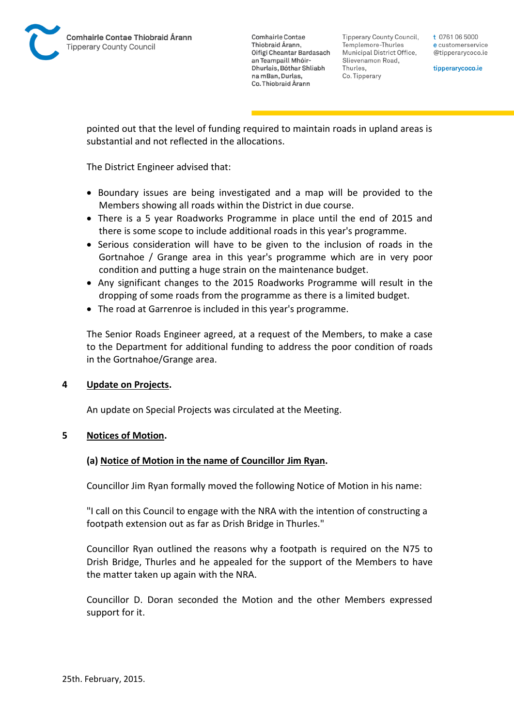**Comhairle Contae** Thiobraid Árann. Oifigí Cheantar Bardasach an Teampaill Mhóir-Dhurlais, Bóthar Shliabh na mBan, Durlas. Co. Thiobraid Árann

Tipperary County Council. Templemore-Thurles Municipal District Office, Slievenamon Road, Thurles, Co. Tipperary

t 0761 06 5000 e customerservice @tipperarycoco.ie

tipperarycoco.ie

pointed out that the level of funding required to maintain roads in upland areas is substantial and not reflected in the allocations.

The District Engineer advised that:

- Boundary issues are being investigated and a map will be provided to the Members showing all roads within the District in due course.
- There is a 5 year Roadworks Programme in place until the end of 2015 and there is some scope to include additional roads in this year's programme.
- Serious consideration will have to be given to the inclusion of roads in the Gortnahoe / Grange area in this year's programme which are in very poor condition and putting a huge strain on the maintenance budget.
- Any significant changes to the 2015 Roadworks Programme will result in the dropping of some roads from the programme as there is a limited budget.
- The road at Garrenroe is included in this year's programme.

The Senior Roads Engineer agreed, at a request of the Members, to make a case to the Department for additional funding to address the poor condition of roads in the Gortnahoe/Grange area.

### **4 Update on Projects.**

An update on Special Projects was circulated at the Meeting.

#### **5 Notices of Motion.**

### **(a) Notice of Motion in the name of Councillor Jim Ryan.**

Councillor Jim Ryan formally moved the following Notice of Motion in his name:

"I call on this Council to engage with the NRA with the intention of constructing a footpath extension out as far as Drish Bridge in Thurles."

Councillor Ryan outlined the reasons why a footpath is required on the N75 to Drish Bridge, Thurles and he appealed for the support of the Members to have the matter taken up again with the NRA.

Councillor D. Doran seconded the Motion and the other Members expressed support for it.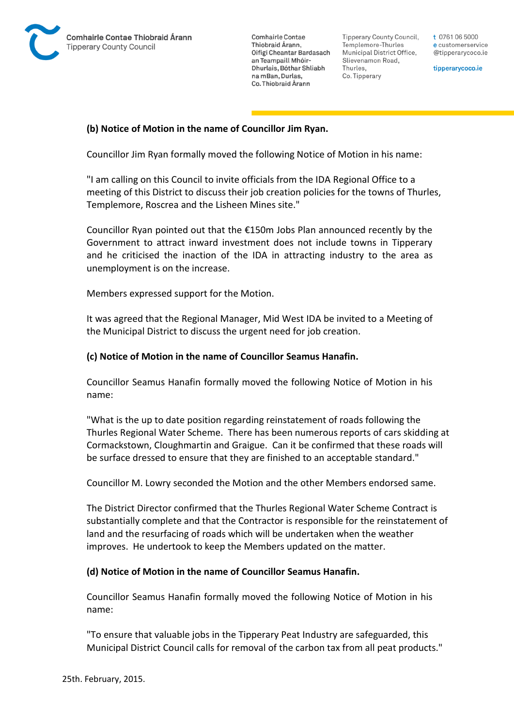

**Comhairle Contae** Thiobraid Árann. Oifigí Cheantar Bardasach an Teampaill Mhóir-Dhurlais, Bóthar Shliabh na mBan, Durlas. Co. Thiobraid Árann

Tipperary County Council. Templemore-Thurles Municipal District Office, Slievenamon Road, Thurles, Co. Tipperary

t 0761 06 5000 e customerservice @tipperarycoco.ie

tipperarycoco.ie

### **(b) Notice of Motion in the name of Councillor Jim Ryan.**

Councillor Jim Ryan formally moved the following Notice of Motion in his name:

"I am calling on this Council to invite officials from the IDA Regional Office to a meeting of this District to discuss their job creation policies for the towns of Thurles, Templemore, Roscrea and the Lisheen Mines site."

Councillor Ryan pointed out that the €150m Jobs Plan announced recently by the Government to attract inward investment does not include towns in Tipperary and he criticised the inaction of the IDA in attracting industry to the area as unemployment is on the increase.

Members expressed support for the Motion.

It was agreed that the Regional Manager, Mid West IDA be invited to a Meeting of the Municipal District to discuss the urgent need for job creation.

#### **(c) Notice of Motion in the name of Councillor Seamus Hanafin.**

Councillor Seamus Hanafin formally moved the following Notice of Motion in his name:

"What is the up to date position regarding reinstatement of roads following the Thurles Regional Water Scheme. There has been numerous reports of cars skidding at Cormackstown, Cloughmartin and Graigue. Can it be confirmed that these roads will be surface dressed to ensure that they are finished to an acceptable standard."

Councillor M. Lowry seconded the Motion and the other Members endorsed same.

The District Director confirmed that the Thurles Regional Water Scheme Contract is substantially complete and that the Contractor is responsible for the reinstatement of land and the resurfacing of roads which will be undertaken when the weather improves. He undertook to keep the Members updated on the matter.

### **(d) Notice of Motion in the name of Councillor Seamus Hanafin.**

Councillor Seamus Hanafin formally moved the following Notice of Motion in his name:

"To ensure that valuable jobs in the Tipperary Peat Industry are safeguarded, this Municipal District Council calls for removal of the carbon tax from all peat products."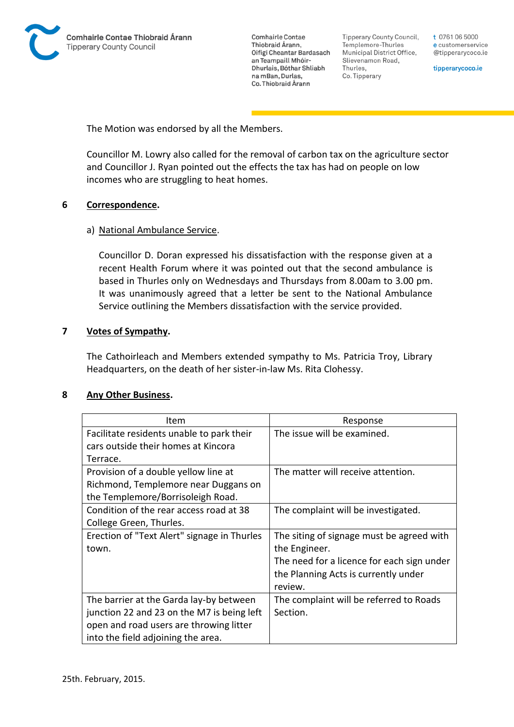

**Comhairle Contae** Thiobraid Árann, Oifigí Cheantar Bardasach an Teampaill Mhóir-Dhurlais, Bóthar Shliabh na mBan, Durlas. Co. Thiobraid Árann

Tipperary County Council, Templemore-Thurles Municipal District Office, Slievenamon Road, Thurles, Co. Tipperary

t 0761 06 5000 e customerservice @tipperarycoco.ie

tipperarycoco.ie

The Motion was endorsed by all the Members.

Councillor M. Lowry also called for the removal of carbon tax on the agriculture sector and Councillor J. Ryan pointed out the effects the tax has had on people on low incomes who are struggling to heat homes.

### **6 Correspondence.**

### a) National Ambulance Service.

Councillor D. Doran expressed his dissatisfaction with the response given at a recent Health Forum where it was pointed out that the second ambulance is based in Thurles only on Wednesdays and Thursdays from 8.00am to 3.00 pm. It was unanimously agreed that a letter be sent to the National Ambulance Service outlining the Members dissatisfaction with the service provided.

### **7 Votes of Sympathy.**

The Cathoirleach and Members extended sympathy to Ms. Patricia Troy, Library Headquarters, on the death of her sister-in-law Ms. Rita Clohessy.

### **8 Any Other Business.**

| Item                                        |                                            |
|---------------------------------------------|--------------------------------------------|
|                                             | Response                                   |
| Facilitate residents unable to park their   | The issue will be examined.                |
| cars outside their homes at Kincora         |                                            |
| Terrace.                                    |                                            |
| Provision of a double yellow line at        | The matter will receive attention.         |
| Richmond, Templemore near Duggans on        |                                            |
| the Templemore/Borrisoleigh Road.           |                                            |
| Condition of the rear access road at 38     | The complaint will be investigated.        |
| College Green, Thurles.                     |                                            |
| Erection of "Text Alert" signage in Thurles | The siting of signage must be agreed with  |
| town.                                       | the Engineer.                              |
|                                             | The need for a licence for each sign under |
|                                             | the Planning Acts is currently under       |
|                                             | review.                                    |
| The barrier at the Garda lay-by between     | The complaint will be referred to Roads    |
| junction 22 and 23 on the M7 is being left  | Section.                                   |
| open and road users are throwing litter     |                                            |
| into the field adjoining the area.          |                                            |